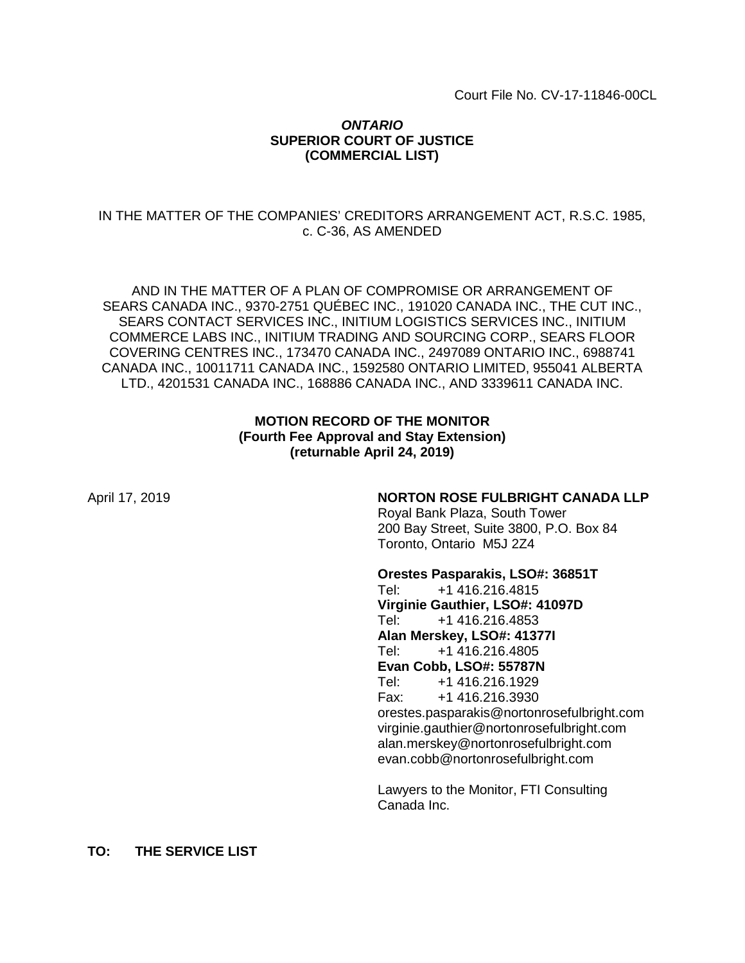## *ONTARIO* **SUPERIOR COURT OF JUSTICE (COMMERCIAL LIST)**

## IN THE MATTER OF THE COMPANIES' CREDITORS ARRANGEMENT ACT, R.S.C. 1985, c. C-36, AS AMENDED

AND IN THE MATTER OF A PLAN OF COMPROMISE OR ARRANGEMENT OF SEARS CANADA INC., 9370-2751 QUÉBEC INC., 191020 CANADA INC., THE CUT INC., SEARS CONTACT SERVICES INC., INITIUM LOGISTICS SERVICES INC., INITIUM COMMERCE LABS INC., INITIUM TRADING AND SOURCING CORP., SEARS FLOOR COVERING CENTRES INC., 173470 CANADA INC., 2497089 ONTARIO INC., 6988741 CANADA INC., 10011711 CANADA INC., 1592580 ONTARIO LIMITED, 955041 ALBERTA LTD., 4201531 CANADA INC., 168886 CANADA INC., AND 3339611 CANADA INC.

## **MOTION RECORD OF THE MONITOR (Fourth Fee Approval and Stay Extension) (returnable April 24, 2019)**

## April 17, 2019 **NORTON ROSE FULBRIGHT CANADA LLP**

Royal Bank Plaza, South Tower 200 Bay Street, Suite 3800, P.O. Box 84 Toronto, Ontario M5J 2Z4

#### **Orestes Pasparakis, LSO#: 36851T**

Tel: +1 416.216.4815 **Virginie Gauthier, LSO#: 41097D** Tel: +1 416.216.4853 **Alan Merskey, LSO#: 41377I** Tel: +1 416.216.4805 **Evan Cobb, LSO#: 55787N** Tel: +1 416.216.1929 Fax: +1 416.216.3930 orestes.pasparakis@nortonrosefulbright.com virginie.gauthier@nortonrosefulbright.com alan.merskey@nortonrosefulbright.com evan.cobb@nortonrosefulbright.com

Lawyers to the Monitor, FTI Consulting Canada Inc.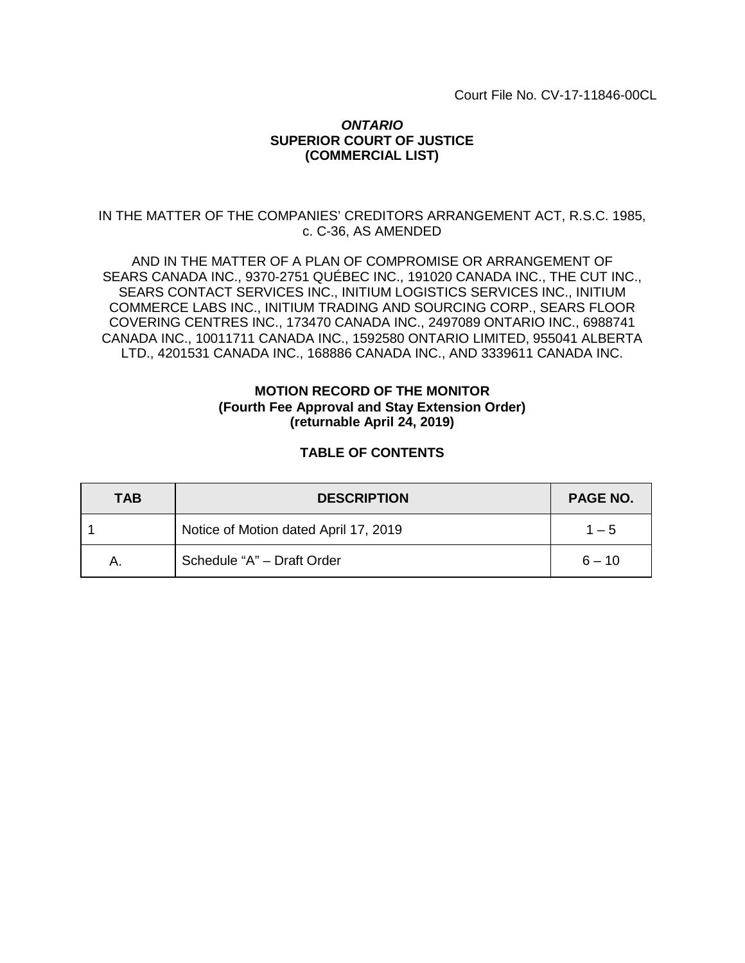## *ONTARIO* **SUPERIOR COURT OF JUSTICE (COMMERCIAL LIST)**

## IN THE MATTER OF THE COMPANIES' CREDITORS ARRANGEMENT ACT, R.S.C. 1985, c. C-36, AS AMENDED

AND IN THE MATTER OF A PLAN OF COMPROMISE OR ARRANGEMENT OF SEARS CANADA INC., 9370-2751 QUÉBEC INC., 191020 CANADA INC., THE CUT INC., SEARS CONTACT SERVICES INC., INITIUM LOGISTICS SERVICES INC., INITIUM COMMERCE LABS INC., INITIUM TRADING AND SOURCING CORP., SEARS FLOOR COVERING CENTRES INC., 173470 CANADA INC., 2497089 ONTARIO INC., 6988741 CANADA INC., 10011711 CANADA INC., 1592580 ONTARIO LIMITED, 955041 ALBERTA LTD., 4201531 CANADA INC., 168886 CANADA INC., AND 3339611 CANADA INC.

## **MOTION RECORD OF THE MONITOR (Fourth Fee Approval and Stay Extension Order) (returnable April 24, 2019)**

## **TABLE OF CONTENTS**

| <b>TAB</b> | <b>DESCRIPTION</b>                    | <b>PAGE NO.</b> |
|------------|---------------------------------------|-----------------|
|            | Notice of Motion dated April 17, 2019 | $1 - 5$         |
| A.         | Schedule "A" - Draft Order            | $6 - 10$        |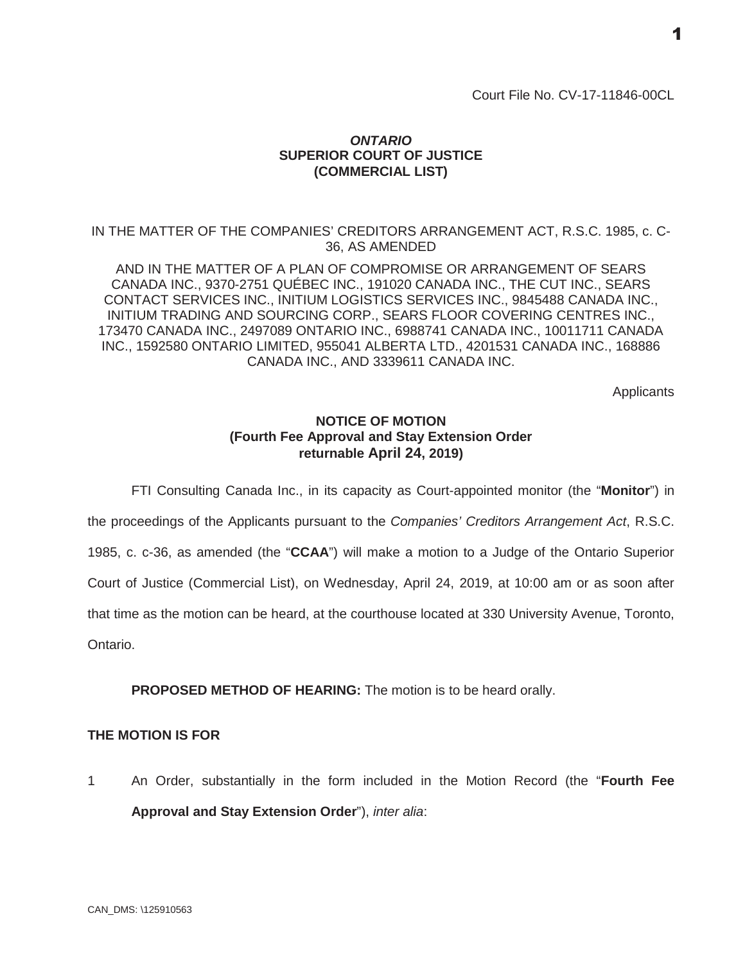## *ONTARIO* **SUPERIOR COURT OF JUSTICE (COMMERCIAL LIST)**

IN THE MATTER OF THE COMPANIES' CREDITORS ARRANGEMENT ACT, R.S.C. 1985, c. C-36, AS AMENDED

AND IN THE MATTER OF A PLAN OF COMPROMISE OR ARRANGEMENT OF SEARS CANADA INC., 9370-2751 QUÉBEC INC., 191020 CANADA INC., THE CUT INC., SEARS CONTACT SERVICES INC., INITIUM LOGISTICS SERVICES INC., 9845488 CANADA INC., INITIUM TRADING AND SOURCING CORP., SEARS FLOOR COVERING CENTRES INC., 173470 CANADA INC., 2497089 ONTARIO INC., 6988741 CANADA INC., 10011711 CANADA INC., 1592580 ONTARIO LIMITED, 955041 ALBERTA LTD., 4201531 CANADA INC., 168886 CANADA INC., AND 3339611 CANADA INC.

**Applicants** 

## **NOTICE OF MOTION (Fourth Fee Approval and Stay Extension Order returnable April 24, 2019)**

FTI Consulting Canada Inc., in its capacity as Court-appointed monitor (the "**Monitor**") in

the proceedings of the Applicants pursuant to the *Companies' Creditors Arrangement Act*, R.S.C.

1985, c. c-36, as amended (the "**CCAA**") will make a motion to a Judge of the Ontario Superior

Court of Justice (Commercial List), on Wednesday, April 24, 2019, at 10:00 am or as soon after

that time as the motion can be heard, at the courthouse located at 330 University Avenue, Toronto,

Ontario.

**PROPOSED METHOD OF HEARING:** The motion is to be heard orally.

## **THE MOTION IS FOR**

1 An Order, substantially in the form included in the Motion Record (the "**Fourth Fee Approval and Stay Extension Order**"), *inter alia*: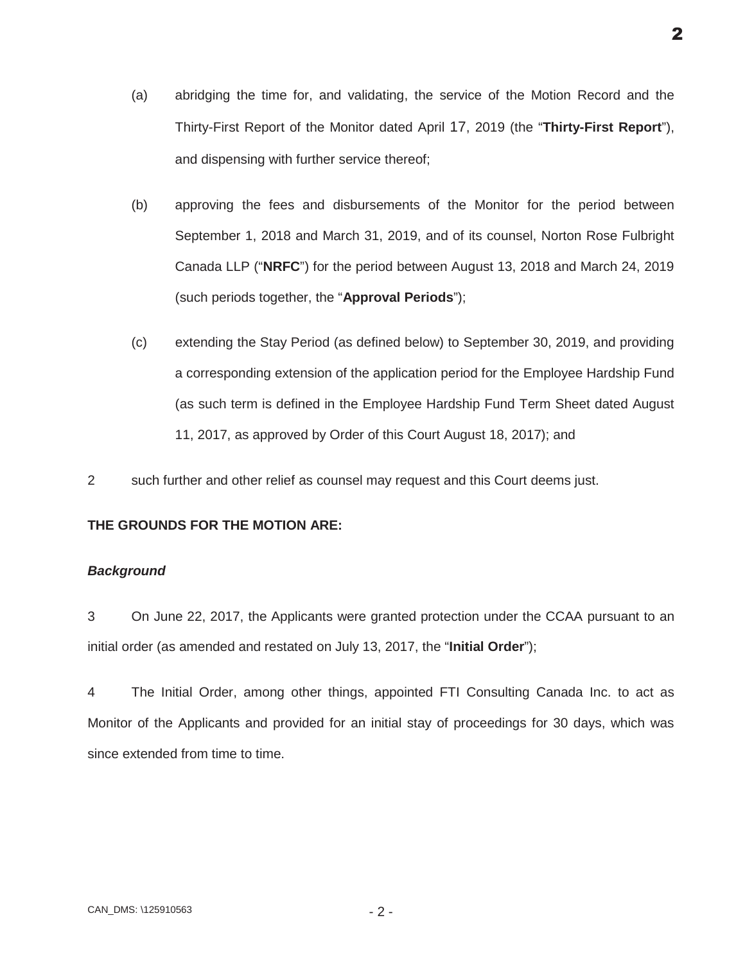- (a) abridging the time for, and validating, the service of the Motion Record and the Thirty-First Report of the Monitor dated April 17, 2019 (the "**Thirty-First Report**"), and dispensing with further service thereof;
- (b) approving the fees and disbursements of the Monitor for the period between September 1, 2018 and March 31, 2019, and of its counsel, Norton Rose Fulbright Canada LLP ("**NRFC**") for the period between August 13, 2018 and March 24, 2019 (such periods together, the "**Approval Periods**");
- (c) extending the Stay Period (as defined below) to September 30, 2019, and providing a corresponding extension of the application period for the Employee Hardship Fund (as such term is defined in the Employee Hardship Fund Term Sheet dated August 11, 2017, as approved by Order of this Court August 18, 2017); and
- 2 such further and other relief as counsel may request and this Court deems just.

## **THE GROUNDS FOR THE MOTION ARE:**

## *Background*

3 On June 22, 2017, the Applicants were granted protection under the CCAA pursuant to an initial order (as amended and restated on July 13, 2017, the "**Initial Order**");

4 The Initial Order, among other things, appointed FTI Consulting Canada Inc. to act as Monitor of the Applicants and provided for an initial stay of proceedings for 30 days, which was since extended from time to time.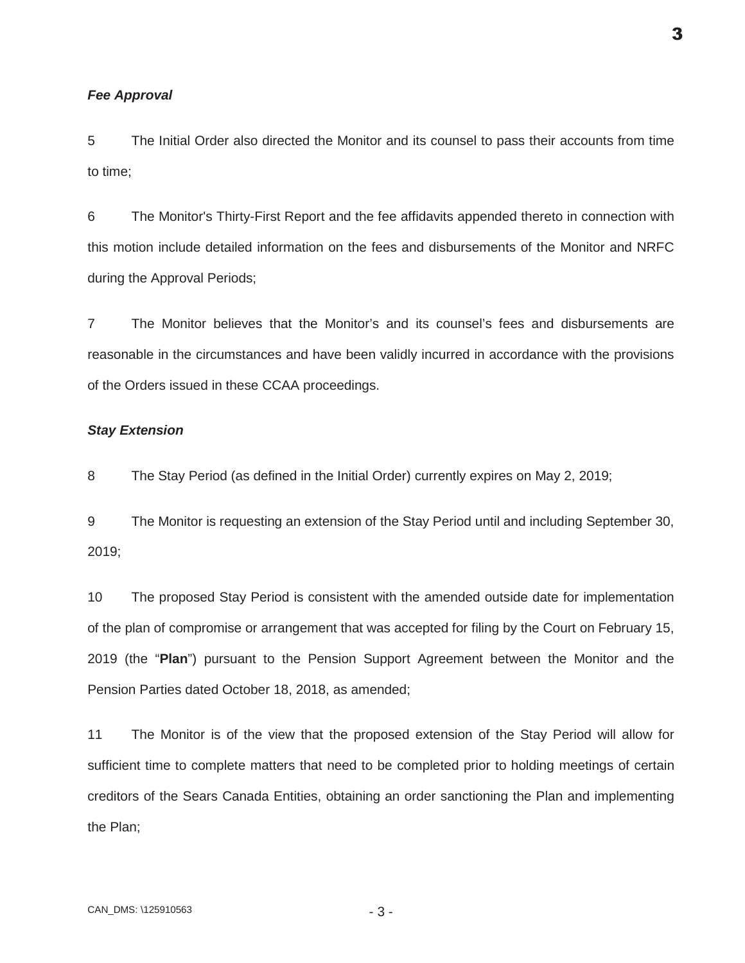#### *Fee Approval*

5 The Initial Order also directed the Monitor and its counsel to pass their accounts from time to time;

6 The Monitor's Thirty-First Report and the fee affidavits appended thereto in connection with this motion include detailed information on the fees and disbursements of the Monitor and NRFC during the Approval Periods;

7 The Monitor believes that the Monitor's and its counsel's fees and disbursements are reasonable in the circumstances and have been validly incurred in accordance with the provisions of the Orders issued in these CCAA proceedings.

#### *Stay Extension*

8 The Stay Period (as defined in the Initial Order) currently expires on May 2, 2019;

9 The Monitor is requesting an extension of the Stay Period until and including September 30, 2019;

10 The proposed Stay Period is consistent with the amended outside date for implementation of the plan of compromise or arrangement that was accepted for filing by the Court on February 15, 2019 (the "**Plan**") pursuant to the Pension Support Agreement between the Monitor and the Pension Parties dated October 18, 2018, as amended;

11 The Monitor is of the view that the proposed extension of the Stay Period will allow for sufficient time to complete matters that need to be completed prior to holding meetings of certain creditors of the Sears Canada Entities, obtaining an order sanctioning the Plan and implementing the Plan;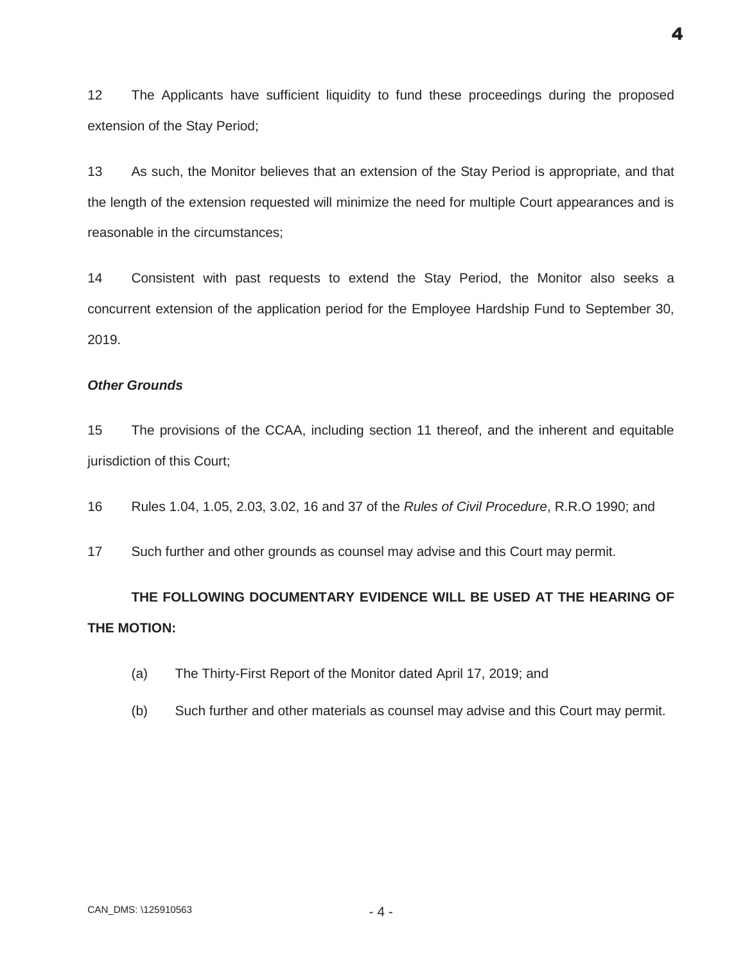12 The Applicants have sufficient liquidity to fund these proceedings during the proposed extension of the Stay Period;

13 As such, the Monitor believes that an extension of the Stay Period is appropriate, and that the length of the extension requested will minimize the need for multiple Court appearances and is reasonable in the circumstances;

14 Consistent with past requests to extend the Stay Period, the Monitor also seeks a concurrent extension of the application period for the Employee Hardship Fund to September 30, 2019.

## *Other Grounds*

15 The provisions of the CCAA, including section 11 thereof, and the inherent and equitable jurisdiction of this Court;

16 Rules 1.04, 1.05, 2.03, 3.02, 16 and 37 of the *Rules of Civil Procedure*, R.R.O 1990; and

17 Such further and other grounds as counsel may advise and this Court may permit.

# **THE FOLLOWING DOCUMENTARY EVIDENCE WILL BE USED AT THE HEARING OF THE MOTION:**

- (a) The Thirty-First Report of the Monitor dated April 17, 2019; and
- (b) Such further and other materials as counsel may advise and this Court may permit.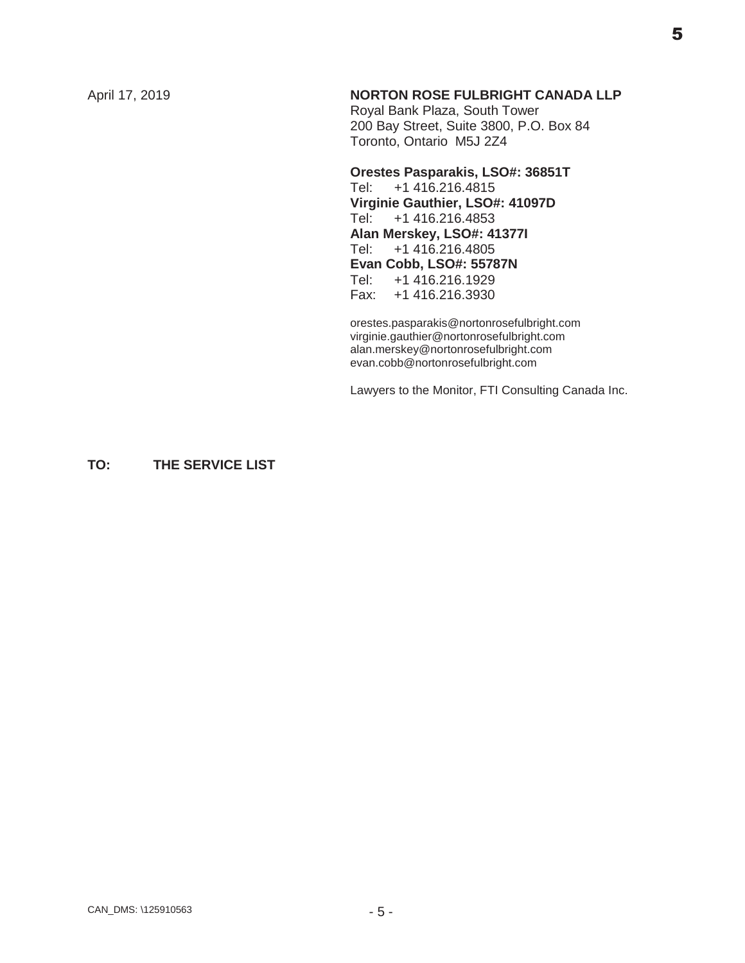## April 17, 2019 **NORTON ROSE FULBRIGHT CANADA LLP**

Royal Bank Plaza, South Tower 200 Bay Street, Suite 3800, P.O. Box 84 Toronto, Ontario M5J 2Z4

## **Orestes Pasparakis, LSO#: 36851T** Tel: +1 416.216.4815 **Virginie Gauthier, LSO#: 41097D** Tel: +1 416.216.4853 **Alan Merskey, LSO#: 41377I** +1 416.216.4805 **Evan Cobb, LSO#: 55787N** Tel: +1 416.216.1929 Fax: +1 416.216.3930

orestes.pasparakis@nortonrosefulbright.com virginie.gauthier@nortonrosefulbright.com alan.merskey@nortonrosefulbright.com evan.cobb@nortonrosefulbright.com

Lawyers to the Monitor, FTI Consulting Canada Inc.

## **TO: THE SERVICE LIST**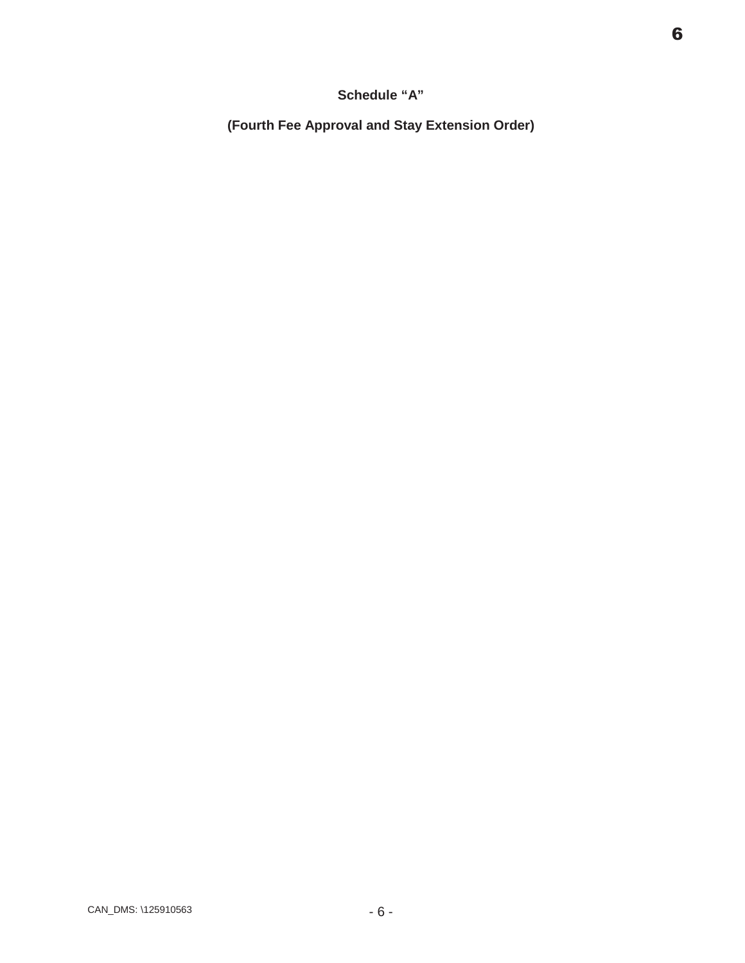## **Schedule "A"**

**(Fourth Fee Approval and Stay Extension Order)**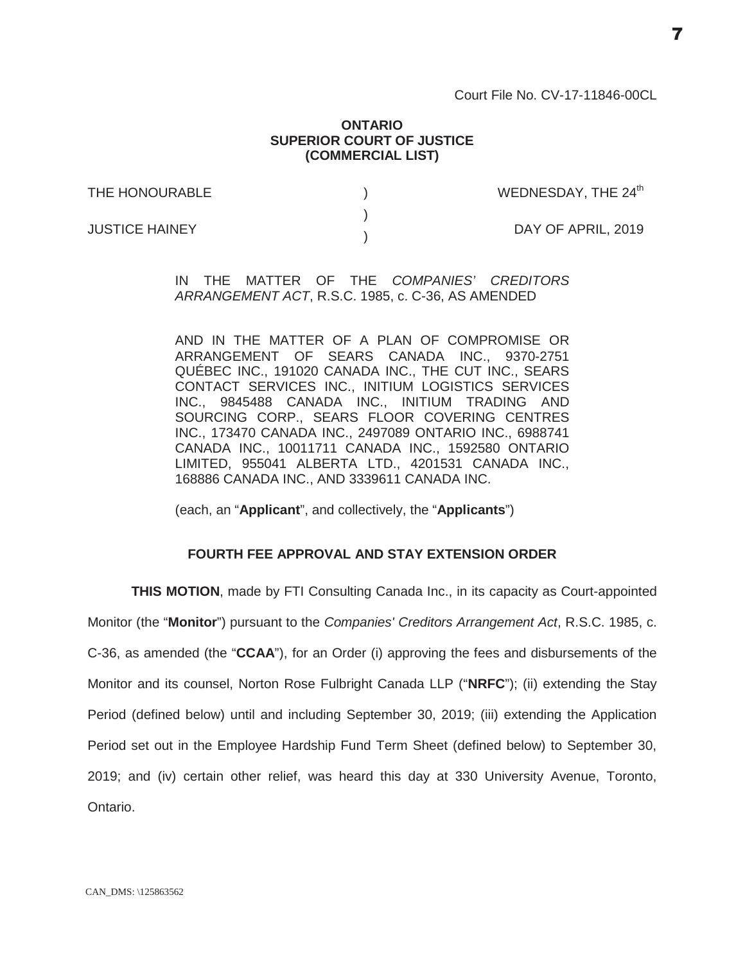#### **ONTARIO SUPERIOR COURT OF JUSTICE (COMMERCIAL LIST)**

) )  $\lambda$ 

THE HONOURABLE

WEDNESDAY, THE  $24<sup>th</sup>$ 

JUSTICE HAINEY

DAY OF APRIL, 2019

IN THE MATTER OF THE *COMPANIES' CREDITORS ARRANGEMENT ACT*, R.S.C. 1985, c. C-36, AS AMENDED

AND IN THE MATTER OF A PLAN OF COMPROMISE OR ARRANGEMENT OF SEARS CANADA INC., 9370-2751 QUÉBEC INC., 191020 CANADA INC., THE CUT INC., SEARS CONTACT SERVICES INC., INITIUM LOGISTICS SERVICES INC., 9845488 CANADA INC., INITIUM TRADING AND SOURCING CORP., SEARS FLOOR COVERING CENTRES INC., 173470 CANADA INC., 2497089 ONTARIO INC., 6988741 CANADA INC., 10011711 CANADA INC., 1592580 ONTARIO LIMITED, 955041 ALBERTA LTD., 4201531 CANADA INC., 168886 CANADA INC., AND 3339611 CANADA INC.

(each, an "**Applicant**", and collectively, the "**Applicants**")

## **FOURTH FEE APPROVAL AND STAY EXTENSION ORDER**

**THIS MOTION**, made by FTI Consulting Canada Inc., in its capacity as Court-appointed Monitor (the "**Monitor**") pursuant to the *Companies' Creditors Arrangement Act*, R.S.C. 1985, c. C-36, as amended (the "**CCAA**"), for an Order (i) approving the fees and disbursements of the Monitor and its counsel, Norton Rose Fulbright Canada LLP ("**NRFC**"); (ii) extending the Stay Period (defined below) until and including September 30, 2019; (iii) extending the Application Period set out in the Employee Hardship Fund Term Sheet (defined below) to September 30, 2019; and (iv) certain other relief, was heard this day at 330 University Avenue, Toronto, Ontario.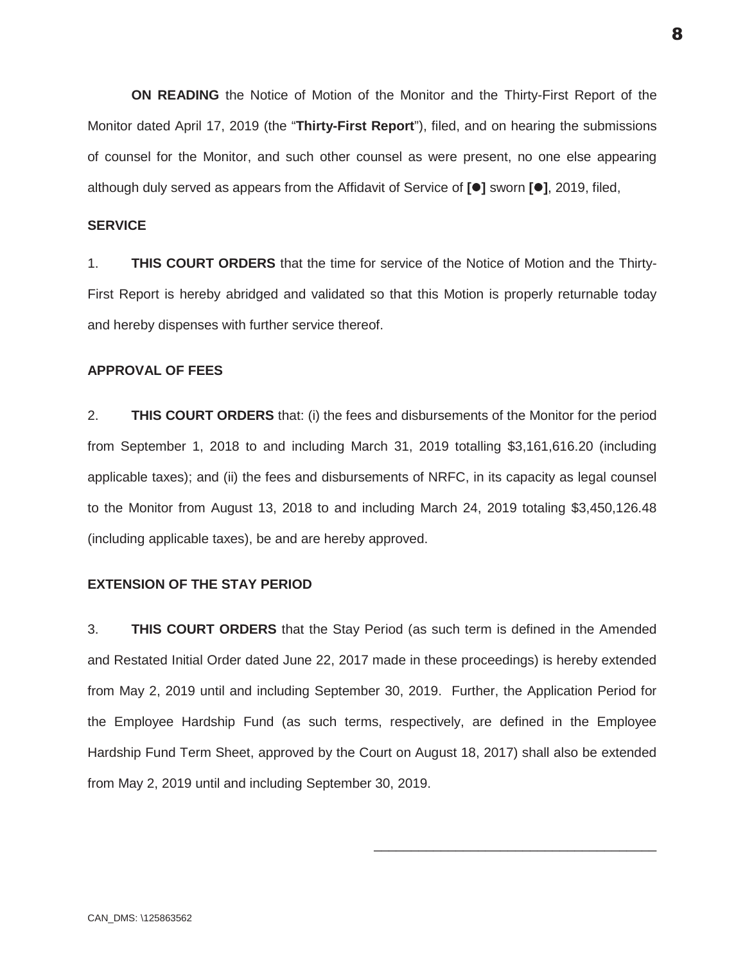**ON READING** the Notice of Motion of the Monitor and the Thirty-First Report of the Monitor dated April 17, 2019 (the "**Thirty-First Report**"), filed, and on hearing the submissions of counsel for the Monitor, and such other counsel as were present, no one else appearing although duly served as appears from the Affidavit of Service of **[**z**]** sworn **[**z**]**, 2019, filed,

#### **SERVICE**

1. **THIS COURT ORDERS** that the time for service of the Notice of Motion and the Thirty-First Report is hereby abridged and validated so that this Motion is properly returnable today and hereby dispenses with further service thereof.

## **APPROVAL OF FEES**

2. **THIS COURT ORDERS** that: (i) the fees and disbursements of the Monitor for the period from September 1, 2018 to and including March 31, 2019 totalling \$3,161,616.20 (including applicable taxes); and (ii) the fees and disbursements of NRFC, in its capacity as legal counsel to the Monitor from August 13, 2018 to and including March 24, 2019 totaling \$3,450,126.48 (including applicable taxes), be and are hereby approved.

#### **EXTENSION OF THE STAY PERIOD**

3. **THIS COURT ORDERS** that the Stay Period (as such term is defined in the Amended and Restated Initial Order dated June 22, 2017 made in these proceedings) is hereby extended from May 2, 2019 until and including September 30, 2019. Further, the Application Period for the Employee Hardship Fund (as such terms, respectively, are defined in the Employee Hardship Fund Term Sheet, approved by the Court on August 18, 2017) shall also be extended from May 2, 2019 until and including September 30, 2019.

\_\_\_\_\_\_\_\_\_\_\_\_\_\_\_\_\_\_\_\_\_\_\_\_\_\_\_\_\_\_\_\_\_\_\_\_\_\_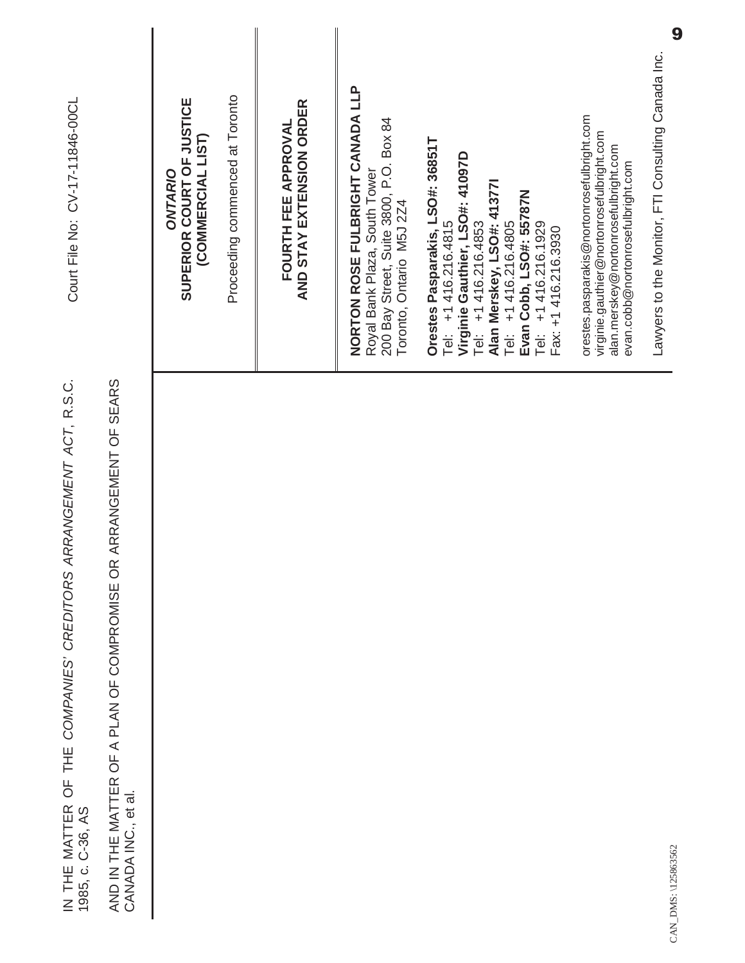| Court File No: CV-17-11846-00CL                                                           |                                                                                          | Proceeding commenced at Toronto<br>SUPERIOR COURT OF JUSTICE<br>(COMMERCIAL LIST)<br>ONTARIO | AND STAY EXTENSION ORDER<br>FOURTH FEE APPROVAL | NORTON ROSE FULBRIGHT CANADA LLP<br>200 Bay Street, Suite 3800, P.O. Box 84<br>Royal Bank Plaza, South Tower<br>Toronto, Ontario M5J 2Z4 | Orestes Pasparakis, LSO#: 36851T<br>Virginie Gauthier, LSO#: 41097D<br>Alan Merskey, LSO#: 41377l<br>Tel:   +1 416.216.4805<br>Evan Cobb, LSO#: 55787N<br>Tel: +1 416.216.4853<br>$+1416.216.1929$<br>Tel: $+1416.216.4815$<br>Fax: +1 416.216.3930<br>Tei<br>F | orestes.pasparakis@nortonrosefulbright.com<br>virginie.gauthier@nortonrosefulbright.com<br>alan.merskey@nortonrosefulbright.com<br>evan.cobb@nortonrosefulbright.com | Lawyers to the Monitor, FTI Consulting Canada Inc. |
|-------------------------------------------------------------------------------------------|------------------------------------------------------------------------------------------|----------------------------------------------------------------------------------------------|-------------------------------------------------|------------------------------------------------------------------------------------------------------------------------------------------|-----------------------------------------------------------------------------------------------------------------------------------------------------------------------------------------------------------------------------------------------------------------|----------------------------------------------------------------------------------------------------------------------------------------------------------------------|----------------------------------------------------|
| ARRANGEMENT ACT, R.S.C.<br>IN THE MATTER OF THE COMPANIES' CREDITORS<br>1985, c. C-36, AS | AND IN THE MATTER OF A PLAN OF COMPROMISE OR ARRANGEMENT OF SEARS<br>CANADA INC., et al. |                                                                                              |                                                 |                                                                                                                                          |                                                                                                                                                                                                                                                                 |                                                                                                                                                                      | DMS: \125863562                                    |

CAN\_DMS: \125863562 CAN\_DMS: \1258635

9